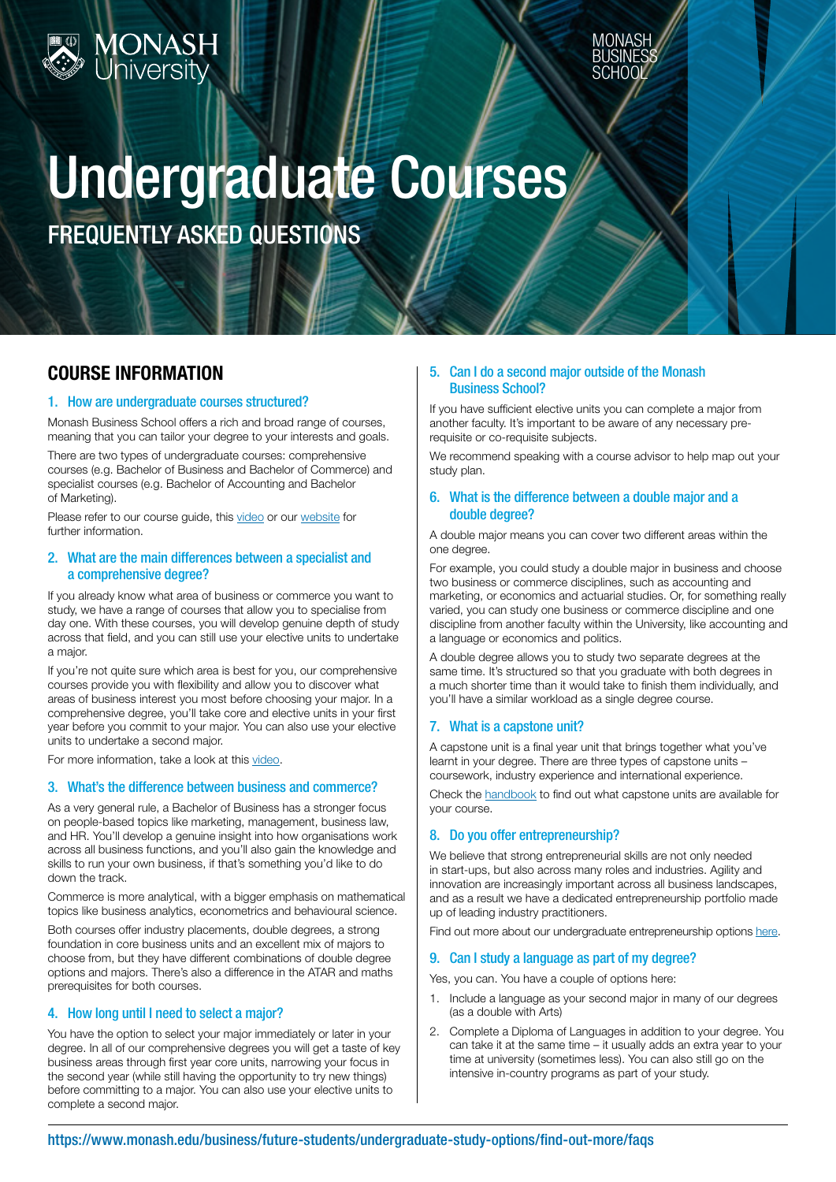



# Undergraduate Courses

FREQUENTLY ASKED QUESTIONS

## COURSE INFORMATION

#### 1. How are undergraduate courses structured?

Monash Business School offers a rich and broad range of courses, meaning that you can tailor your degree to your interests and goals.

There are two types of undergraduate courses: comprehensive courses (e.g. Bachelor of Business and Bachelor of Commerce) and specialist courses (e.g. Bachelor of Accounting and Bachelor of Marketing).

Please refer to our course guide, this [video](https://www.youtube.com/watch?v=kPN5mrCXKEI&list=PLVhjskAajvy_P6wj-Rw-QN7yhU7P0B6Ss&autoplay=1) or our [website](https://www.monash.edu/business/future-students/undergraduate-study-options) for further information.

#### 2. What are the main differences between a specialist and a comprehensive degree?

If you already know what area of business or commerce you want to study, we have a range of courses that allow you to specialise from day one. With these courses, you will develop genuine depth of study across that field, and you can still use your elective units to undertake a major.

If you're not quite sure which area is best for you, our comprehensive courses provide you with flexibility and allow you to discover what areas of business interest you most before choosing your major. In a comprehensive degree, you'll take core and elective units in your first year before you commit to your major. You can also use your elective units to undertake a second major.

For more information, take a look at this [video](https://www.youtube.com/watch?v=A7xIo6wC0Hk).

#### 3. What's the difference between business and commerce?

As a very general rule, a Bachelor of Business has a stronger focus on people-based topics like marketing, management, business law, and HR. You'll develop a genuine insight into how organisations work across all business functions, and you'll also gain the knowledge and skills to run your own business, if that's something you'd like to do down the track.

Commerce is more analytical, with a bigger emphasis on mathematical topics like business analytics, econometrics and behavioural science.

Both courses offer industry placements, double degrees, a strong foundation in core business units and an excellent mix of majors to choose from, but they have different combinations of double degree options and majors. There's also a difference in the ATAR and maths prerequisites for both courses.

#### 4. How long until I need to select a major?

You have the option to select your major immediately or later in your degree. In all of our comprehensive degrees you will get a taste of key business areas through first year core units, narrowing your focus in the second year (while still having the opportunity to try new things) before committing to a major. You can also use your elective units to complete a second major.

#### 5. Can I do a second major outside of the Monash Business School?

If you have sufficient elective units you can complete a major from another faculty. It's important to be aware of any necessary prerequisite or co-requisite subjects.

We recommend speaking with a course advisor to help map out your study plan.

#### 6. What is the difference between a double major and a double degree?

A double major means you can cover two different areas within the one degree.

For example, you could study a double major in business and choose two business or commerce disciplines, such as accounting and marketing, or economics and actuarial studies. Or, for something really varied, you can study one business or commerce discipline and one discipline from another faculty within the University, like accounting and a language or economics and politics.

A double degree allows you to study two separate degrees at the same time. It's structured so that you graduate with both degrees in a much shorter time than it would take to finish them individually, and you'll have a similar workload as a single degree course.

#### 7. What is a capstone unit?

A capstone unit is a final year unit that brings together what you've learnt in your degree. There are three types of capstone units – coursework, industry experience and international experience.

Check the [handbook](https://handbook.monash.edu/) to find out what capstone units are available for your course.

#### 8. Do you offer entrepreneurship?

We believe that strong entrepreneurial skills are not only needed in start-ups, but also across many roles and industries. Agility and innovation are increasingly important across all business landscapes, and as a result we have a dedicated entrepreneurship portfolio made up of leading industry practitioners.

Find out more about our undergraduate entrepreneurship options [here.](https://www.monash.edu/business/future-students/entrepreneurship/study-options/undergraduate-study)

### 9. Can I study a language as part of my degree?

Yes, you can. You have a couple of options here:

- 1. Include a language as your second major in many of our degrees (as a double with Arts)
- 2. Complete a Diploma of Languages in addition to your degree. You can take it at the same time – it usually adds an extra year to your time at university (sometimes less). You can also still go on the intensive in-country programs as part of your study.